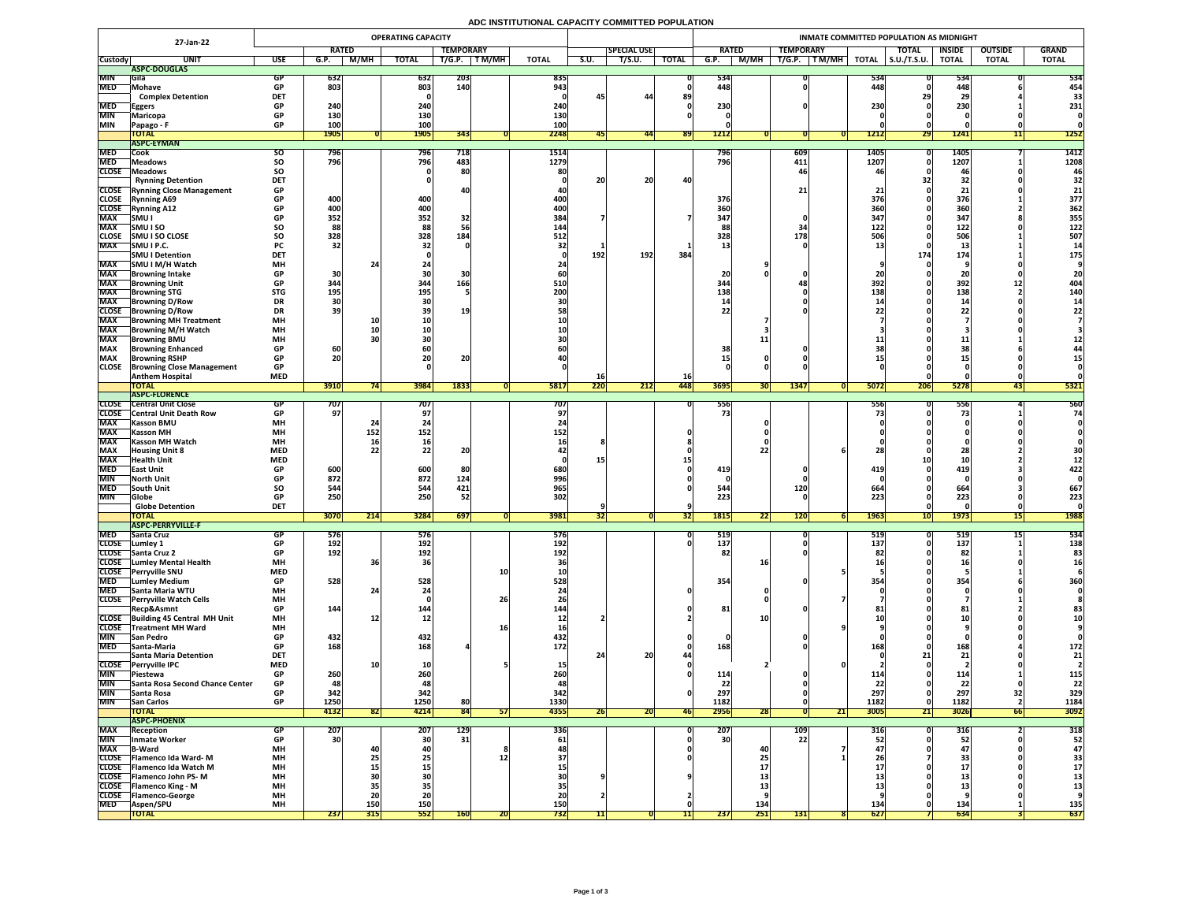## **ADC INSTITUTIONAL CAPACITY COMMITTED POPULATION**

|                          | 27-Jan-22                                                         | <b>OPERATING CAPACITY</b> |                   |             |                 |                       |              |                   |            |                    |                  | INMATE COMMITTED POPULATION AS MIDNIGHT |           |                           |              |                     |                               |                |              |  |  |  |
|--------------------------|-------------------------------------------------------------------|---------------------------|-------------------|-------------|-----------------|-----------------------|--------------|-------------------|------------|--------------------|------------------|-----------------------------------------|-----------|---------------------------|--------------|---------------------|-------------------------------|----------------|--------------|--|--|--|
|                          |                                                                   |                           | <b>RATED</b>      |             |                 | <b>TEMPORARY</b>      |              |                   |            | <b>SPECIAL USE</b> |                  | <b>RATED</b>                            |           | <b>TEMPORARY</b>          |              | <b>TOTAL</b>        | <b>INSIDE</b>                 | <b>OUTSIDE</b> | <b>GRAND</b> |  |  |  |
| <b>Custody</b>           | <b>UNIT</b>                                                       | <b>USE</b>                | G.P.              | <b>M/MH</b> | <b>TOTAL</b>    | T/G.P.                | <b>TM/MH</b> | <b>TOTAL</b>      | S.U.       | T/S.U.             | <b>TOTAL</b>     | G.P.                                    | M/MH      | $\sqrt{T}$ M/MH<br>T/G.P. | <b>TOTAL</b> | $\vert$ S.U./T.S.U. | <b>TOTAL</b>                  | <b>TOTAL</b>   | <b>TOTAL</b> |  |  |  |
|                          | ASPC-DOUGLAS                                                      |                           |                   |             |                 |                       |              |                   |            |                    |                  |                                         |           |                           |              |                     |                               |                |              |  |  |  |
| <b>MIN</b>               | <b>IGila</b>                                                      | GP                        | <b>632</b>        |             | 632             | <b>203</b>            |              | 835               |            |                    |                  | 534<br>448                              |           |                           | 534<br>448   |                     | 534                           |                | 534          |  |  |  |
| <b>MED</b>               | Mohave<br><b>Complex Detention</b>                                | <b>GP</b><br><b>DET</b>   | 803               |             | 803             | 140                   |              | 943               |            | 44                 | 89               |                                         |           |                           |              |                     | 448<br>29                     |                | 454<br>33    |  |  |  |
| <b>MED</b>               | <b>Eggers</b>                                                     | <b>GP</b>                 | 240               |             | 240             |                       |              | 240               | 45         |                    |                  | 230                                     |           |                           | 230          |                     | 230                           |                | 231          |  |  |  |
| <b>MIN</b>               | Maricopa                                                          | <b>GP</b>                 | 130               |             | 130             |                       |              | 130               |            |                    |                  |                                         |           |                           |              |                     |                               |                |              |  |  |  |
| <b>MIN</b>               | Papago - F                                                        | <b>GP</b>                 | 100               |             | 100             |                       |              | 100               |            |                    |                  |                                         |           |                           |              |                     |                               |                |              |  |  |  |
|                          | <b>TOTAL</b>                                                      |                           | <b>1905</b>       |             | <b>1905</b>     | 343                   |              | 2248              |            | 44                 | <b>891</b>       | 1212                                    |           |                           | 1212         | <b>291</b>          | 1241                          | ┹┹║            | 1252         |  |  |  |
|                          | <b>ASPC-EYMAN</b>                                                 |                           |                   |             |                 |                       |              |                   |            |                    |                  |                                         |           |                           |              |                     |                               |                |              |  |  |  |
| <b>MED</b>               | <b>Cook</b>                                                       | SU.                       | 796               |             | 796             | 718                   |              | 1514              |            |                    |                  | 790                                     |           | 609                       | 1405         |                     | 1405                          |                | 1412         |  |  |  |
| <b>MED</b>               | <b>Meadows</b>                                                    | <b>SO</b>                 | <b>796</b>        |             | 796             | 483                   |              | 1279              |            |                    |                  | 796                                     |           | 411                       | 1207         |                     | 1207                          |                | 1208         |  |  |  |
|                          | CLOSE   Meadows                                                   | <b>SO</b>                 |                   |             |                 | 80                    |              | 80                |            |                    |                  |                                         |           |                           |              |                     |                               |                |              |  |  |  |
|                          | <b>Rynning Detention</b><br><b>CLOSE</b> Rynning Close Management | <b>DET</b><br><b>GP</b>   |                   |             |                 |                       |              |                   | 20         | 20 <sub>1</sub>    | 40               |                                         |           |                           |              |                     | 32                            |                | 32           |  |  |  |
| <b>CLOSE</b>             | <b>Rynning A69</b>                                                | <b>GP</b>                 | 400               |             | 400             |                       |              | 4UI<br>400        |            |                    |                  | 376                                     |           |                           | 376          |                     | <u> 4 J</u><br>376            |                | 21<br>377    |  |  |  |
| <b>CLOSE</b>             | <b>Rynning A12</b>                                                | <b>GP</b>                 | 400               |             | 400             |                       |              | <b>400</b>        |            |                    |                  | 360                                     |           |                           | 360          |                     | 360                           |                | 362          |  |  |  |
| <b>MAX</b>               | SMU I                                                             | <b>GP</b>                 | 352               |             | 352             | 32                    |              | 384               |            |                    |                  | 347                                     |           |                           | 347          |                     | 347                           |                | 355          |  |  |  |
| <b>MAX</b>               | <b>SMUISO</b>                                                     | SO                        | 88                |             | 88              |                       |              | 144               |            |                    |                  | 88                                      |           |                           | 122          |                     | 122                           |                | 122          |  |  |  |
| <b>CLOSE</b>             | <b>SMU I SO CLOSE</b>                                             | <b>SO</b>                 | 328               |             | 328             | 184                   |              | 512               |            |                    |                  | 328                                     |           | 178                       | <b>506</b>   |                     | 506                           |                | 507          |  |  |  |
| <b>MAX</b>               | SMU I P.C.                                                        | <b>PC</b>                 | 32                |             |                 |                       |              |                   |            |                    |                  |                                         |           |                           |              |                     |                               |                |              |  |  |  |
|                          | <b>SMU I Detention</b>                                            | <b>DET</b>                |                   |             |                 |                       |              |                   | 192        | 192                | 384              |                                         |           |                           |              | 174                 | 174                           |                | 175          |  |  |  |
| <b>MAX</b>               | SMU I M/H Watch                                                   | <b>MH</b>                 |                   |             |                 |                       |              |                   |            |                    |                  |                                         |           |                           |              |                     |                               |                |              |  |  |  |
| <b>MAX</b>               | Browning Intake                                                   | <b>GP</b>                 | 30                |             |                 |                       |              |                   |            |                    |                  | 20                                      |           |                           |              |                     |                               |                |              |  |  |  |
| <b>MAX</b><br><b>MAX</b> | <b>Browning Unit</b><br><b>Browning STG</b>                       | <b>GP</b><br><b>STG</b>   | 344<br><b>195</b> |             | 344<br>195      | 166                   |              | <b>510</b><br>200 |            |                    |                  | 344<br>138                              |           |                           | 392 <br>138  |                     | 392<br>138                    | TT.            | 404<br>140   |  |  |  |
| <b>MAX</b>               | <b>Browning D/Row</b>                                             | <b>DR</b>                 | 30                |             |                 |                       |              |                   |            |                    |                  |                                         |           |                           |              |                     |                               |                |              |  |  |  |
| <b>CLOSE</b>             | <b>TBrowning D/Row</b>                                            | <b>DR</b>                 | 39                |             |                 | <b>19</b>             |              |                   |            |                    |                  |                                         |           |                           |              |                     |                               |                |              |  |  |  |
| <b>MAX</b>               | <b>Browning MH Treatment</b>                                      | <b>MH</b>                 |                   | <b>10</b>   |                 |                       |              |                   |            |                    |                  |                                         |           |                           |              |                     |                               |                |              |  |  |  |
| <b>MAX</b>               | <b>TBrowning M/H Watch</b>                                        | <b>MH</b>                 |                   |             |                 |                       |              |                   |            |                    |                  |                                         |           |                           |              |                     |                               |                |              |  |  |  |
| <b>MAX</b>               | <b>Browning BMU</b>                                               | <b>MH</b>                 |                   |             |                 |                       |              |                   |            |                    |                  |                                         |           |                           |              |                     | ᆂᆇ                            |                |              |  |  |  |
| <b>MAX</b>               | <b>Browning Enhanced</b>                                          | <b>GP</b>                 | 60                |             |                 |                       |              |                   |            |                    |                  | 38                                      |           |                           |              |                     |                               |                |              |  |  |  |
| <b>MAX</b>               | <b>Browning RSHP</b>                                              | <b>GP</b>                 | ገበ<br>ZUI         |             | ZU              | 90<br>ZU <sub>I</sub> |              |                   |            |                    |                  |                                         |           |                           |              |                     | alla v                        |                |              |  |  |  |
| <b>CLOSE</b>             | <b>Browning Close Management</b>                                  | <b>GP</b>                 |                   |             |                 |                       |              |                   |            |                    |                  |                                         |           |                           |              |                     |                               |                |              |  |  |  |
|                          | <b>Anthem Hospital</b><br><b>TOTAL</b>                            | <b>MED</b>                | 3910              |             | 3984            | 1833                  |              | 5817              | TO<br>220  | 212                | <b>16</b><br>448 | 3695                                    |           | 1347                      | 5072         |                     | 5278                          |                | 5321         |  |  |  |
|                          | <b>ASPC-FLORENCE</b>                                              |                           |                   |             |                 |                       |              |                   |            |                    |                  |                                         | <b>JU</b> |                           |              | <b>ZUP</b>          |                               | 431            |              |  |  |  |
| <b>CLOSE</b>             | <b>Central Unit Close</b>                                         |                           | 707               |             | 707             |                       |              | 707               |            |                    |                  | 556                                     |           |                           | 556          |                     | つつて                           |                | 560          |  |  |  |
|                          | <b>CLOSE</b> Central Unit Death Row                               | <b>GP</b>                 | 97                |             |                 |                       |              | 97                |            |                    |                  | 73                                      |           |                           |              |                     |                               |                | 74           |  |  |  |
| <b>MAX</b>               | <b>Kasson BMU</b>                                                 | <b>MH</b>                 |                   |             |                 |                       |              |                   |            |                    |                  |                                         |           |                           |              |                     |                               |                |              |  |  |  |
| <b>MAX</b>               | <b>Kasson MH</b>                                                  | <b>MH</b>                 |                   | 152         | 152             |                       |              | <b>152'</b>       |            |                    |                  |                                         |           |                           |              |                     |                               |                |              |  |  |  |
| <b>MAX</b>               | <b>Kasson MH Watch</b>                                            | <b>MH</b>                 |                   |             |                 |                       |              |                   |            |                    |                  |                                         |           |                           |              |                     |                               |                |              |  |  |  |
| <b>MAX</b>               | <b>Housing Unit 8</b>                                             | <b>MED</b>                |                   |             |                 | ZU                    |              |                   |            |                    |                  |                                         |           |                           |              |                     |                               |                |              |  |  |  |
| <b>MAX</b><br><b>MED</b> | <b>Health Unit</b>                                                | <b>MED</b>                |                   |             |                 |                       |              |                   |            |                    |                  | 419                                     |           |                           |              |                     |                               |                |              |  |  |  |
| <b>MIN</b>               | <b>TEast Unit</b><br><b>North Unit</b>                            | <b>GP</b>                 | 600<br>872        |             | 600<br>872      | 80<br>124             |              | 680<br>996        |            |                    |                  |                                         |           |                           | 419          |                     | 419                           |                | 422          |  |  |  |
| <b>MED</b>               | <b>South Unit</b>                                                 | <b>SO</b>                 | 544               |             | 544             | 421                   |              | 965               |            |                    |                  | 544                                     |           | <b>120</b>                | 664          |                     | 664                           |                | 667          |  |  |  |
| <b>MIN</b>               | <b>Globe</b>                                                      | <b>GP</b>                 | 250               |             | 250             | 52                    |              | 302               |            |                    |                  | 223                                     |           |                           | 223          |                     | 223                           |                | 223          |  |  |  |
|                          | <b>Globe Detention</b>                                            | <b>DET</b>                |                   |             |                 |                       |              |                   |            |                    |                  |                                         |           |                           |              |                     |                               |                |              |  |  |  |
|                          | TOTAL                                                             |                           | 3070              | 214         | <b>3284</b>     | 697                   |              | <b>3981</b>       | 52         |                    | 32               | <b>1815</b>                             | 22        | <b>120</b>                | 1963         | <b>TOI</b>          | 1973                          | 15             | <b>1988</b>  |  |  |  |
|                          | <b>ASPC-PERRYVILLE-F</b>                                          |                           |                   |             |                 |                       |              |                   |            |                    |                  |                                         |           |                           |              |                     |                               |                |              |  |  |  |
| <b>MED</b>               | <b>Santa Cruz</b>                                                 | 9 P                       | 576'              |             | 576             |                       |              | <b>576</b>        |            |                    |                  | 519                                     |           |                           | <b>519</b>   |                     | 519                           |                | 534          |  |  |  |
| <b>CLOSE</b>             | <b>Lumley 1</b><br>CLOSE Santa Cruz 2                             | <b>GP</b>                 | 192<br>192        |             | 192             |                       |              | 192               |            |                    |                  | 137<br>82                               |           |                           | 137          |                     | 137                           |                | 138          |  |  |  |
|                          | <b>CLOSE</b> Lumley Mental Health                                 | <b>GP</b><br><b>MH</b>    |                   |             | 192             |                       |              | 192               |            |                    |                  |                                         |           |                           |              |                     | 82                            |                | 83           |  |  |  |
|                          | CLOSE Perryville SNU                                              | <b>MED</b>                |                   |             |                 |                       | <b>10</b>    |                   |            |                    |                  |                                         |           |                           |              |                     |                               |                |              |  |  |  |
| <b>MED</b>               | <b>Lumley Medium</b>                                              | <b>GP</b>                 | 528               |             | 528             |                       |              | 528               |            |                    |                  | 354                                     |           |                           | 354          |                     | 354                           |                | 360          |  |  |  |
| <b>MED</b>               | <b>Santa Maria WTU</b>                                            | <b>MH</b>                 |                   |             |                 |                       |              |                   |            |                    |                  |                                         |           |                           |              |                     |                               |                |              |  |  |  |
|                          | CLOSE Perryville Watch Cells                                      | <b>MH</b>                 |                   |             |                 |                       | 26           |                   |            |                    |                  |                                         |           |                           |              |                     |                               |                |              |  |  |  |
|                          | <b>Recp&amp;Asmnt</b>                                             | <b>GP</b>                 | 144               |             | 144             |                       |              | 144               |            |                    |                  | 81                                      |           |                           |              |                     | 81                            |                |              |  |  |  |
|                          | CLOSE Building 45 Central MH Unit                                 | <b>MH</b>                 |                   |             |                 |                       |              |                   |            |                    |                  |                                         |           |                           |              |                     |                               |                |              |  |  |  |
| <b>MIN</b>               | <b>CLOSE</b> Treatment MH Ward                                    | <b>MH</b><br><b>GP</b>    |                   |             |                 |                       | <b>To</b>    |                   |            |                    |                  |                                         |           |                           |              |                     |                               |                |              |  |  |  |
| <b>MED</b>               | <b>San Pedro</b><br>Santa-Maria                                   | <b>GP</b>                 | 432<br>168        |             | 432<br>168      |                       |              | 432<br><b>172</b> |            |                    |                  | 168                                     |           |                           |              |                     | 168                           |                | 172          |  |  |  |
|                          | <b>Santa Maria Detention</b>                                      | <b>DET</b>                |                   |             |                 |                       |              |                   |            | 20 <sup>1</sup>    |                  |                                         |           |                           |              |                     | 21                            |                | 21           |  |  |  |
| <b>CLOSE</b>             | Perryville IPC                                                    | <b>MED</b>                |                   |             |                 |                       |              |                   |            |                    |                  |                                         |           |                           |              |                     |                               |                |              |  |  |  |
| <b>MIN</b>               | <b>Piestewa</b>                                                   | <b>GP</b>                 | 260               |             | 260             |                       |              |                   |            |                    |                  | 114                                     |           |                           |              |                     | <u>114</u>                    |                | <b>115'</b>  |  |  |  |
| <b>MIN</b>               | Santa Rosa Second Chance Center                                   | <b>GP</b>                 | 48                |             | 48              |                       |              |                   |            |                    |                  | 22                                      |           |                           | 22           |                     | 22                            |                | 22           |  |  |  |
| <b>MIN</b>               | Santa Rosa                                                        | <b>GP</b>                 | 342               |             | 342             |                       |              | 342               |            |                    |                  | 297                                     |           |                           | 297          |                     | 297                           |                | 329          |  |  |  |
| <b>MIN</b>               | <b>San Carlos</b>                                                 | <b>GP</b>                 | 1250              |             | 1250            | 80                    |              | 1330              |            |                    |                  | 1182                                    |           |                           | 1182         |                     | 1182                          |                | 1184         |  |  |  |
|                          | <b>TOTAL</b>                                                      |                           | 4132              | 821         | 4214            | 84                    | 51           | 4355              | 26         | ZUI                | <b>461</b>       | 2956                                    | ZOI       | 21                        | 3005         | <b>211</b>          | 3026                          | 66             | 3092         |  |  |  |
| <b>MAX</b>               | <b>ASPC-PHOENIX</b>                                               |                           |                   |             | 207             | <b>129</b>            |              |                   |            |                    |                  | 207                                     |           | <b>109</b>                | 316          |                     |                               |                | 318          |  |  |  |
| <b>MIN</b>               | Reception<br>Inmate Worker                                        | <b>GP</b>                 | 207<br><b>30</b>  |             | 30 <sub>l</sub> | 31                    |              | 336<br>61         |            |                    |                  | 30 <sup>1</sup>                         |           | 22                        |              |                     | <b>PTC</b><br>52 <sub>1</sub> |                | 52           |  |  |  |
| <b>MAX</b>               | <b>B-Ward</b>                                                     | <b>MH</b>                 |                   |             |                 |                       |              |                   |            |                    |                  |                                         |           |                           |              |                     |                               |                |              |  |  |  |
|                          | CLOSE   Flamenco Ida Ward-M                                       | <b>MH</b>                 |                   |             |                 |                       |              |                   |            |                    |                  |                                         |           |                           |              |                     |                               |                | 33           |  |  |  |
|                          | <b>CLOSE</b> Flamenco Ida Watch M                                 | <b>MH</b>                 |                   |             |                 |                       |              |                   |            |                    |                  |                                         |           |                           |              |                     | J. <i>I</i>                   |                |              |  |  |  |
|                          | <b>CLOSE</b> Flamenco John PS-M                                   | <b>MH</b>                 |                   |             |                 |                       |              |                   |            |                    |                  |                                         |           |                           |              |                     |                               |                |              |  |  |  |
|                          | <b>CLOSE</b> Flamenco King - M                                    | <b>MH</b>                 |                   | 55          |                 |                       |              |                   |            |                    |                  |                                         |           |                           |              |                     |                               |                |              |  |  |  |
|                          | CLOSE   Flamenco-George                                           | <b>MH</b>                 |                   |             | ZU              |                       |              |                   |            |                    |                  |                                         |           |                           |              |                     |                               |                |              |  |  |  |
| <b>MED</b>               | <b>Aspen/SPU</b>                                                  | <b>MH</b>                 |                   | <b>150</b>  | 150             |                       |              | 150               |            |                    |                  |                                         | 134       |                           | 134          |                     | 134                           |                | 135          |  |  |  |
|                          | <b>TOTAL</b>                                                      |                           | 237               | 315         | 552             | <b>160</b>            | <b>201</b>   | 732               | $\ket{11}$ |                    | 11               | 237                                     | 251       | <b>131</b>                | 627          |                     | 634                           |                | 637          |  |  |  |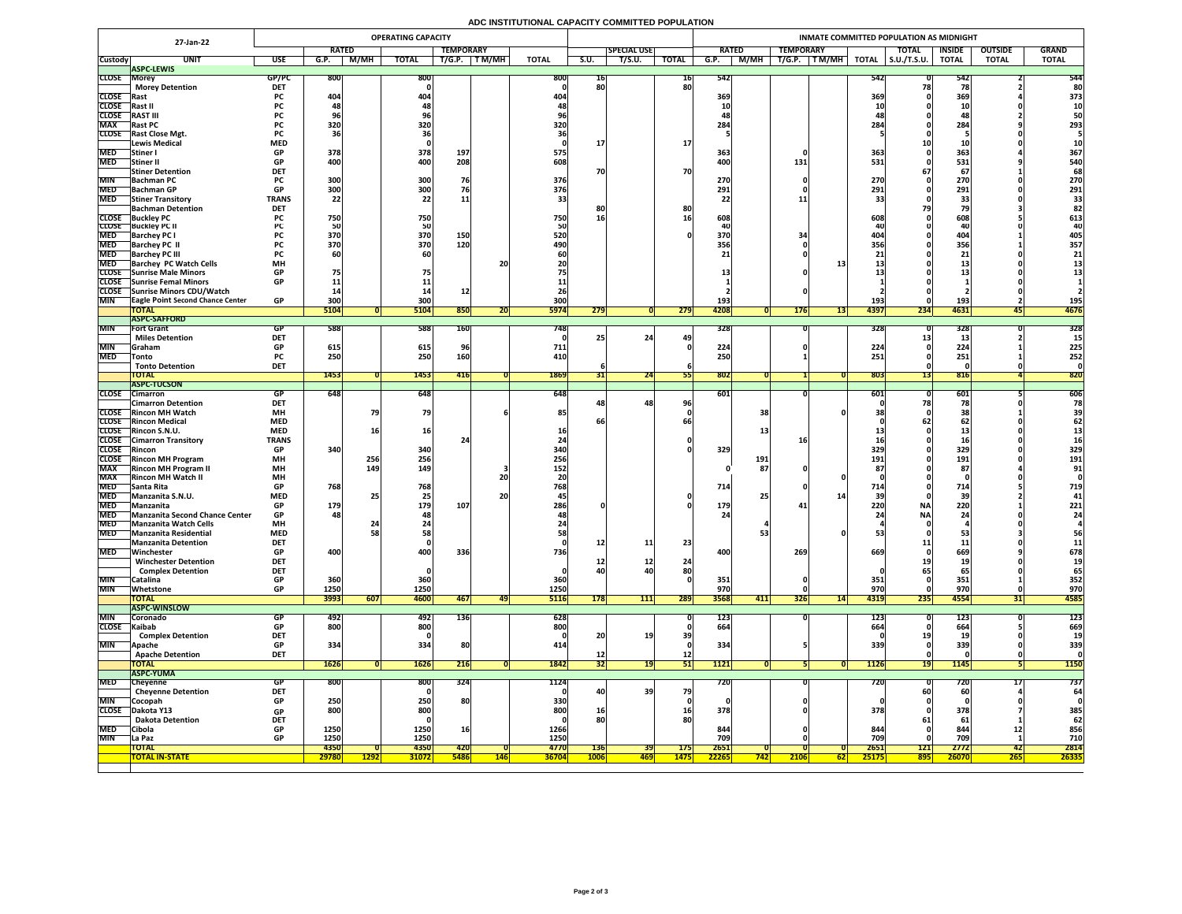## **ADC INSTITUTIONAL CAPACITY COMMITTED POPULATION**

|                     | 27-Jan-22                                                     |                         |                         |               | <b>OPERATING CAPACITY</b> |                  |            |              |             |                    |              |                     |                  |                   | INMATE COMMITTED POPULATION AS MIDNIGHT |               |                |               |
|---------------------|---------------------------------------------------------------|-------------------------|-------------------------|---------------|---------------------------|------------------|------------|--------------|-------------|--------------------|--------------|---------------------|------------------|-------------------|-----------------------------------------|---------------|----------------|---------------|
|                     |                                                               |                         | <b>RATED</b>            |               |                           | <b>TEMPORARY</b> |            |              |             | <b>SPECIAL USE</b> |              | <b>RATED</b>        | <b>TEMPORARY</b> |                   | <b>TOTAL</b>                            | <b>INSIDE</b> | <b>OUTSIDE</b> | <b>GRAND</b>  |
| <b>Custody</b>      | <b>UNIT</b>                                                   | <b>USE</b>              | G.P.                    | M/MH          | <b>TOTAL</b>              | T/G.P.           | T M/MH     | <b>TOTAL</b> | <b>S.U.</b> | T/S.U.             | <b>TOTAL</b> | M/MH<br>G.P.        | T/G.P.<br>T M/MH | <b>TOTAL</b>      | $\vert$ S.U./T.S.U.                     | <b>TOTAL</b>  | <b>TOTAL</b>   | <b>TOTAL</b>  |
|                     | <b>ASPC-LEWIS</b>                                             |                         |                         |               |                           |                  |            |              |             |                    |              |                     |                  |                   |                                         |               |                |               |
| <b>CLOSE Morey</b>  | <b>Morey Detention</b>                                        | GP/PC<br><b>DET</b>     | <b>800</b>              |               | 800                       |                  |            | 800          | TP.<br>80   |                    | 16 <br>80    | 542                 |                  | 542               |                                         | 542           |                | 544<br>80     |
| <b>CLOSE</b> Rast   |                                                               | <b>PC</b>               | 404                     |               | 404                       |                  |            | 404          |             |                    |              | 369                 |                  | 369               |                                         | 369           |                | 373           |
| <b>CLOSE</b>        | Rast II                                                       |                         |                         |               |                           |                  |            |              |             |                    |              |                     |                  |                   |                                         |               |                |               |
| <b>CLOSE</b>        | <b>RAST III</b>                                               | rc -                    |                         |               | 70                        |                  |            |              |             |                    |              |                     |                  |                   |                                         |               |                | 50            |
| <b>MAX</b>          | <b>Rast PC</b>                                                | <b>PC</b>               | 320                     |               | 320                       |                  |            | 320          |             |                    |              | 284                 |                  | 284               |                                         | 284           |                | 293           |
|                     | <b>CLOSE</b> Rast Close Mgt.                                  | <b>PC</b>               |                         |               |                           |                  |            |              |             |                    |              |                     |                  |                   |                                         |               |                |               |
|                     | <b>Lewis Medical</b>                                          | <b>MED</b>              |                         |               |                           |                  |            |              |             |                    | <b>17</b>    |                     |                  |                   |                                         |               |                |               |
| <b>MED</b>          | <b>Stiner</b> I                                               | <b>GP</b>               | 378                     |               | 378                       | 197              |            | 575          |             |                    |              | 363                 |                  | 363               |                                         | 363           |                | 367           |
| <b>MED</b>          | Stiner II                                                     | <b>GP</b>               | 400                     |               | 400                       | 208              |            | 608.         |             |                    |              | 400                 | 131              | 531               |                                         | 531           |                | 540           |
|                     | <b>Stiner Detention</b>                                       | <b>DET</b>              |                         |               |                           | 76               |            |              | 70          |                    | <b>70</b>    |                     |                  |                   |                                         | 67            |                | 68            |
| <b>MIN</b>          | <b>Bachman PC</b><br>MED Bachman GP                           | GP.                     | 300<br>300 <sub>l</sub> |               | 300<br>300                |                  |            | 376<br>376   |             |                    |              | 270<br>291          |                  | 270<br>2011       |                                         | 270<br>291    |                | 270<br>291    |
| <b>MED</b>          | <b>Stiner Transitory</b>                                      | VГ<br><b>TRANS</b>      | <b>JUU</b><br>22        |               | 22                        |                  |            |              |             |                    |              | <b>ZJI</b>          |                  | <b>ZJI</b>        |                                         |               |                | 33            |
|                     | <b>Bachman Detention</b>                                      | <b>DET</b>              |                         |               |                           |                  |            |              |             |                    | 80           |                     |                  |                   |                                         |               |                |               |
|                     | <b>CLOSE</b> Buckley PC                                       |                         | 750                     |               | 750                       |                  |            | 750          | 16          |                    | <b>16</b>    | 608                 |                  | 608               |                                         | 608           |                | 613           |
|                     | <b>CLOSE</b> Buckley PC II                                    |                         |                         |               | <b>50</b>                 |                  |            |              |             |                    |              |                     |                  |                   |                                         |               |                | 40            |
| <b>MED</b>          | <b>Barchey PC I</b>                                           |                         | 370                     |               | 370                       | 150              |            | 520          |             |                    |              | 370                 |                  |                   |                                         | 404           |                | 405           |
| <b>MED</b>          | <b>Barchey PC II</b>                                          |                         | 370                     |               | 370                       | 120              |            | 490          |             |                    |              | 356                 |                  | <b>356 </b>       |                                         | 356           |                | 357           |
| <b>MED</b>          | <b>Barchey PC III</b>                                         |                         |                         |               | 60                        |                  |            |              |             |                    |              |                     |                  |                   |                                         |               |                | 21            |
| <b>MED</b>          | <b>Barchey PC Watch Cells</b>                                 | <b>MH</b>               |                         |               |                           |                  | 20         |              |             |                    |              |                     |                  |                   |                                         |               |                |               |
|                     | CLOSE Sunrise Male Minors<br>CLOSE Sunrise Femal Minors       | <b>GP</b><br><b>GP</b>  |                         |               |                           |                  |            |              |             |                    |              |                     |                  |                   |                                         |               |                |               |
|                     | CLOSE Sunrise Minors CDU/Watch                                |                         |                         |               |                           |                  |            |              |             |                    |              |                     |                  |                   |                                         |               |                |               |
| <b>MIN</b>          | <b>TEagle Point Second Chance Center</b>                      | <b>GP</b>               | 300                     |               | 300                       |                  |            | 300          |             |                    |              | 193                 |                  | 193               |                                         | 193           |                | 195           |
|                     | <b>TOTAL</b>                                                  |                         | 5104                    |               | 5104                      | 850              | ZU         | <b>5974</b>  | 279         |                    | 279          | 4208                | <b>176</b>       | 4397<br><b>13</b> | 234                                     | 4631          | 451            | 4676          |
|                     | <b>ASPC-SAFFORD</b>                                           |                         |                         |               |                           |                  |            |              |             |                    |              |                     |                  |                   |                                         |               |                |               |
| <b>MIN</b>          | <b>Fort Grant</b>                                             | GP                      | 588                     |               | 588                       | <b>160</b>       |            | 748          |             |                    |              | 328                 |                  | 328               |                                         | 328           |                | 328           |
|                     | <b>Miles Detention</b>                                        | <b>DET</b>              |                         |               |                           |                  |            |              |             | 24                 | 49           |                     |                  |                   |                                         |               |                |               |
| <b>MIN</b>          | <b>Sanam</b>                                                  | <b>GP</b>               | 615                     |               | 615                       |                  |            | 711          |             |                    |              | 224                 |                  | 224               |                                         | 224           |                | 225           |
| <b>MED</b>          | <b>Tonto</b>                                                  | <b>PC</b>               | 250                     |               | 250                       | 160              |            | 410          |             |                    |              | 250                 |                  | 251               |                                         | 251           |                | 252           |
|                     | <b>Tonto Detention</b><br><b>TOTAL</b>                        | <b>DET</b>              | 1453                    |               | <b>1453</b>               | 416              |            | 1869         |             | 24                 |              | 802                 |                  | 803               |                                         | 816           |                | 820           |
|                     | <b>ASPC-TUCSON</b>                                            |                         |                         |               |                           |                  |            |              |             |                    |              |                     |                  |                   |                                         |               |                |               |
|                     | CLOSE Cimarron                                                | GP.                     | 648                     |               | 648                       |                  |            | 648          |             |                    |              | $\boxed{601}$       |                  | 601               |                                         | 601           |                | 606           |
|                     | <b>Cimarron Detention</b>                                     | <b>DET</b>              |                         |               |                           |                  |            |              |             | 48 <sub>1</sub>    | 96           |                     |                  |                   |                                         |               |                | 78            |
|                     | <b>CLOSE</b> Rincon MH Watch                                  | <b>MH</b>               |                         |               | 79                        |                  |            | 85           |             |                    |              |                     | 38               |                   |                                         |               |                |               |
|                     | <b>CLOSE</b> Rincon Medical                                   | <b>MED</b>              |                         |               |                           |                  |            |              |             |                    |              |                     |                  |                   |                                         |               |                |               |
|                     | CLOSE Rincon S.N.U.                                           | <b>MED</b>              |                         |               | 16I                       |                  |            |              |             |                    |              |                     |                  |                   |                                         |               |                |               |
|                     | <b>CLOSE</b> Cimarron Transitory                              | <b>TRANS</b>            |                         |               |                           |                  |            |              |             |                    |              |                     |                  |                   |                                         |               |                |               |
| <b>CLOSE</b> Rincon |                                                               | <b>GP</b>               | 340                     |               | 340                       |                  |            | <b>340</b>   |             |                    |              | 329                 |                  | 329               |                                         | 329           |                | 329           |
| <b>MAX</b>          | <b>CLOSE</b> Rincon MH Program<br><b>Rincon MH Program II</b> | <b>MH</b><br><b>MH</b>  |                         | 256<br>149    | 256<br><b>149</b>         |                  |            | 256<br>152   |             |                    |              | 191                 | 87               | 191               |                                         | 191<br>87     |                | 191<br>91     |
| <b>MAX</b>          | <b>Rincon MH Watch II</b>                                     | <b>MH</b>               |                         |               |                           |                  | 20         |              |             |                    |              |                     |                  |                   |                                         |               |                |               |
| <b>MED</b>          | <b>Santa Rita</b>                                             | <b>GP</b>               | 768                     |               | 768                       |                  |            | 768          |             |                    |              | 714                 |                  | 714               |                                         | 714           |                | 719           |
| <b>MED</b>          | Manzanita S.N.U.                                              | <b>MED</b>              |                         |               | 25                        |                  | <b>20</b>  |              |             |                    |              |                     |                  |                   |                                         | 39            |                | 41            |
| <b>MED</b>          | Manzanita                                                     | <b>GP</b>               | 179                     |               | 179                       | 107              |            | 286          |             |                    |              | 179                 |                  | 220               | <b>NA</b>                               | 220           |                | 221           |
|                     | MED Manzanita Second Chance Center                            | <b>GP</b>               | 481                     |               | 48                        |                  |            |              |             |                    |              | 24                  |                  | 24                | <b>NAI</b>                              | 24            |                | <b>Z4</b>     |
| <b>MED</b>          | <b>Manzanita Watch Cells</b>                                  | <b>MH</b>               |                         |               |                           |                  |            |              |             |                    |              |                     |                  |                   |                                         |               |                |               |
| <b>MED</b>          | Manzanita Residential                                         | <b>MED</b>              |                         |               | 58                        |                  |            |              |             |                    |              |                     | 53               |                   |                                         |               |                | 56            |
|                     | <b>Manzanita Detention</b>                                    | <b>DET</b>              |                         |               |                           |                  |            |              | <b>12</b>   | 11                 | 23           |                     |                  |                   |                                         |               |                | 11            |
| <b>MED</b>          | Winchester<br><b>Winchester Detention</b>                     | <b>GP</b><br><b>DET</b> | 400                     |               | 400                       | 336              |            | <b>736</b>   |             | <b>12</b>          | 24           | 400                 | 269              | 669               |                                         | 669           |                | 678           |
|                     | <b>Complex Detention</b>                                      | <b>DET</b>              |                         |               |                           |                  |            |              | 40          | 40                 | 80           |                     |                  |                   |                                         |               |                | 65            |
| <b>MIN</b>          | Catalina                                                      | <b>GP</b>               | 360                     |               | 360                       |                  |            | 360          |             |                    |              | 351                 |                  | 351               |                                         | 351           |                | 352           |
| <b>MIN</b>          | Whetstone                                                     | <b>GP</b>               | 1250                    |               | 1250                      |                  |            | 1250         |             |                    |              | 970                 |                  | 970               |                                         | 970           |                | 970           |
|                     | <b>TOTAL</b>                                                  |                         | 3993                    | 607           | 4600                      | 467              | 49         | <b>5116</b>  | 178         | 111                | 289          | 3568<br> 411        | <b>326</b>       | 4319<br> 14       | 235                                     | 4554          | コエー            | 4585          |
|                     | <b>ASPC-WINSLOW</b>                                           |                         |                         |               |                           |                  |            |              |             |                    |              |                     |                  |                   |                                         |               |                |               |
| <b>MIN</b>          | <b>Coronado</b>                                               | GP.                     | 492                     |               | 492                       | 136              |            | 628          |             |                    |              | <b>123</b>          |                  | 123               |                                         | 123           |                | <b>123</b>    |
| CLOSE Kaibab        |                                                               | GP                      | 800                     |               | 800                       |                  |            | 800          |             |                    |              | 664                 |                  | 664               |                                         | 664           |                | 669           |
|                     | <b>Complex Detention</b>                                      | <b>DET</b>              |                         |               |                           |                  |            |              | 20          |                    | 39           |                     |                  |                   |                                         |               |                |               |
| <b>MIN</b>          | <b>Apache</b>                                                 | <b>GP</b>               | 334                     |               | 334                       | 80               |            | 414          |             |                    |              | 334                 |                  | 339               |                                         | 339           |                | 339           |
|                     | <b>Apache Detention</b><br><b>TOTAL</b>                       | <b>DET</b>              | <b>1626</b>             |               | 1626                      | 216              |            | 1842         | 32          |                    | 12           | 1121                |                  | <b>1126</b>       |                                         | <b>1145</b>   |                | <b>1150</b>   |
|                     | <b>ASPC-YUMA</b>                                              |                         |                         |               |                           |                  |            |              |             |                    | <b>PTI</b>   |                     |                  |                   |                                         |               |                |               |
| <b>MED</b>          | Cheyenne                                                      | GP                      | <b>800</b>              |               | 800                       | 324              |            | 1124         |             |                    |              | 720                 |                  | 720               |                                         | 720           |                | 737           |
|                     | <b>Cheyenne Detention</b>                                     | <b>DET</b>              |                         |               |                           |                  |            |              | 40          | <b>39</b>          | 79           |                     |                  |                   |                                         | 60            |                |               |
| <b>MIN</b>          | Cocopah                                                       | <b>GP</b>               | 250                     |               | 250                       | <b>80</b>        |            | 330          |             |                    |              |                     |                  |                   |                                         |               |                |               |
| <b>CLOSE</b>        | Dakota Y13                                                    | <b>GP</b>               | 800                     |               | 800                       |                  |            | 800          | <b>16</b>   |                    | <b>16</b>    | 378                 |                  | 378               |                                         | 378           |                | 385           |
|                     | <b>Dakota Detention</b>                                       | <b>DET</b>              |                         |               |                           |                  |            |              | 80          |                    | 80           |                     |                  |                   |                                         |               |                | 62            |
| <b>MED</b>          | Cibola                                                        | <b>GP</b>               | 1250                    |               | 1250                      | <b>16</b>        |            | 1266         |             |                    |              | 844                 |                  | 844               |                                         | 844           | <b>12</b>      | 856           |
| <b>MIN</b>          | La Paz                                                        | <b>GP</b>               | 1250                    |               | 1250                      |                  |            | 1250         |             |                    |              | 709                 |                  | 709               |                                         | 709           |                | 710           |
|                     | <b>TOTAL</b><br><b>TOTAL IN-STATE</b>                         |                         | 4350                    |               | 4350                      | <b>420</b>       |            | 4770         | <b>136</b>  | <b>391</b>         | <b>175</b>   | 2651                |                  | 2651              | 121                                     | 2772          | 42             | 2814<br>26335 |
|                     |                                                               |                         | 29780                   | <u>  1292</u> | <b>31072</b>              | <b>5486</b>      | <b>146</b> | <b>36704</b> | <b>1006</b> | <u> 469  </u>      | <b>1475</b>  | <b>22265</b><br>742 | <b>2106</b>      | 25175<br>62       | <b>895</b>                              | 26070         | <b>265</b>     |               |